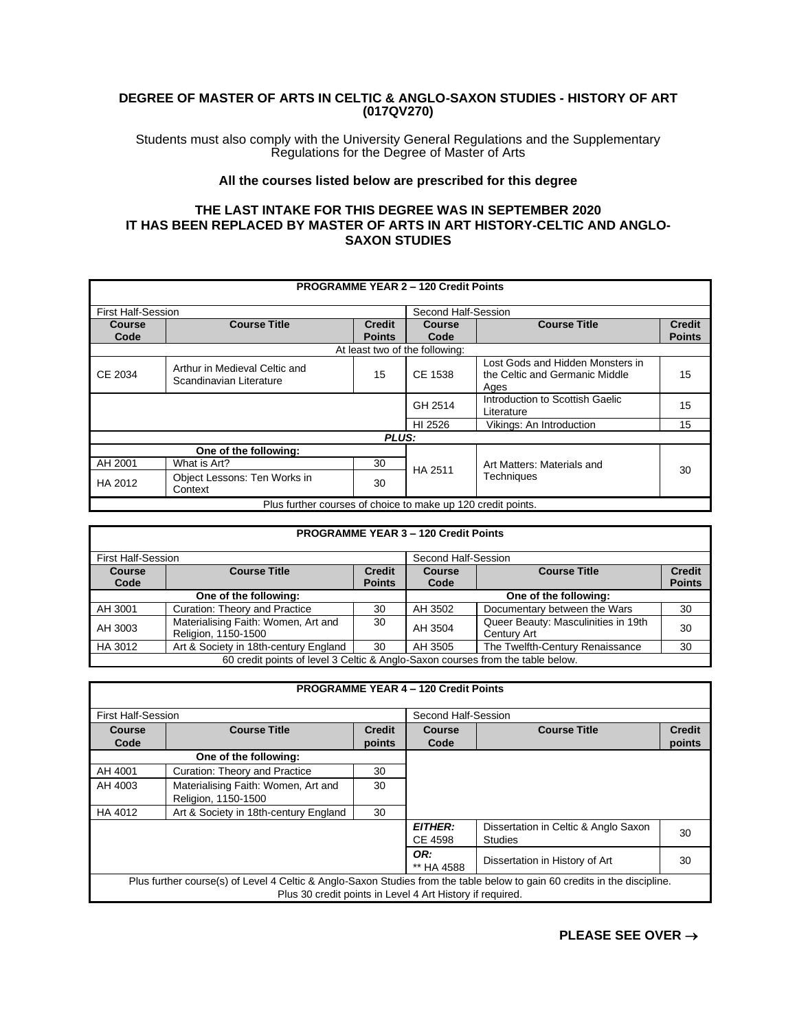## **DEGREE OF MASTER OF ARTS IN CELTIC & ANGLO-SAXON STUDIES - HISTORY OF ART (017QV270)**

Students must also comply with the University General Regulations and the Supplementary Regulations for the Degree of Master of Arts

## **All the courses listed below are prescribed for this degree**

## **THE LAST INTAKE FOR THIS DEGREE WAS IN SEPTEMBER 2020 IT HAS BEEN REPLACED BY MASTER OF ARTS IN ART HISTORY-CELTIC AND ANGLO-SAXON STUDIES**

|                           | <b>PROGRAMME YEAR 2 - 120 Credit Points</b>                  |               |                                |                                                                            |               |  |
|---------------------------|--------------------------------------------------------------|---------------|--------------------------------|----------------------------------------------------------------------------|---------------|--|
| <b>First Half-Session</b> |                                                              |               | Second Half-Session            |                                                                            |               |  |
| Course                    | <b>Course Title</b>                                          | <b>Credit</b> | Course                         | <b>Course Title</b>                                                        | <b>Credit</b> |  |
| Code                      |                                                              | <b>Points</b> | Code                           |                                                                            | <b>Points</b> |  |
|                           |                                                              |               | At least two of the following: |                                                                            |               |  |
| CE 2034                   | Arthur in Medieval Celtic and<br>Scandinavian Literature     | 15            | CE 1538                        | Lost Gods and Hidden Monsters in<br>the Celtic and Germanic Middle<br>Ages | 15            |  |
|                           |                                                              |               | GH 2514                        | Introduction to Scottish Gaelic<br>Literature                              | 15            |  |
|                           |                                                              |               | HI 2526                        | Vikings: An Introduction                                                   | 15            |  |
|                           |                                                              | <b>PLUS:</b>  |                                |                                                                            |               |  |
|                           | One of the following:                                        |               |                                |                                                                            |               |  |
| AH 2001                   | What is Art?                                                 | 30            | HA 2511                        | Art Matters: Materials and<br>Techniques                                   | 30            |  |
| HA 2012                   | Object Lessons: Ten Works in<br>Context                      | 30            |                                |                                                                            |               |  |
|                           | Plus further courses of choice to make up 120 credit points. |               |                                |                                                                            |               |  |

| <b>PROGRAMME YEAR 3 - 120 Credit Points</b>                                    |                                                            |                                |                       |                                                    |                                |
|--------------------------------------------------------------------------------|------------------------------------------------------------|--------------------------------|-----------------------|----------------------------------------------------|--------------------------------|
| <b>First Half-Session</b>                                                      |                                                            |                                | Second Half-Session   |                                                    |                                |
| <b>Course</b><br>Code                                                          | <b>Course Title</b>                                        | <b>Credit</b><br><b>Points</b> | <b>Course</b><br>Code | <b>Course Title</b>                                | <b>Credit</b><br><b>Points</b> |
|                                                                                | One of the following:                                      |                                |                       | One of the following:                              |                                |
| AH 3001                                                                        | Curation: Theory and Practice                              | 30                             | AH 3502               | Documentary between the Wars                       | 30                             |
| AH 3003                                                                        | Materialising Faith: Women, Art and<br>Religion, 1150-1500 | 30                             | AH 3504               | Queer Beauty: Masculinities in 19th<br>Century Art | 30                             |
| HA 3012                                                                        | Art & Society in 18th-century England                      | 30                             | AH 3505               | The Twelfth-Century Renaissance                    | 30                             |
| 60 credit points of level 3 Celtic & Anglo-Saxon courses from the table below. |                                                            |                                |                       |                                                    |                                |

| <b>PROGRAMME YEAR 4 - 120 Credit Points</b> |                                                                                                                           |                     |                |                                      |               |
|---------------------------------------------|---------------------------------------------------------------------------------------------------------------------------|---------------------|----------------|--------------------------------------|---------------|
| <b>First Half-Session</b>                   |                                                                                                                           | Second Half-Session |                |                                      |               |
| <b>Course</b>                               | <b>Course Title</b>                                                                                                       | <b>Credit</b>       | Course         | <b>Course Title</b>                  | <b>Credit</b> |
| Code                                        |                                                                                                                           | points              | Code           |                                      | points        |
|                                             | One of the following:                                                                                                     |                     |                |                                      |               |
| AH 4001                                     | Curation: Theory and Practice                                                                                             | 30                  |                |                                      |               |
| AH 4003                                     | Materialising Faith: Women, Art and                                                                                       | 30                  |                |                                      |               |
|                                             | Religion, 1150-1500                                                                                                       |                     |                |                                      |               |
| HA 4012                                     | Art & Society in 18th-century England                                                                                     | 30                  |                |                                      |               |
|                                             |                                                                                                                           |                     | <b>EITHER:</b> | Dissertation in Celtic & Anglo Saxon | 30            |
| CE 4598<br><b>Studies</b>                   |                                                                                                                           |                     |                |                                      |               |
| OR:                                         |                                                                                                                           |                     |                |                                      |               |
|                                             |                                                                                                                           |                     | ** HA 4588     | Dissertation in History of Art       | 30            |
|                                             | Plus further course(s) of Level 4 Celtic & Anglo-Saxon Studies from the table below to gain 60 credits in the discipline. |                     |                |                                      |               |
|                                             | Plus 30 credit points in Level 4 Art History if required.                                                                 |                     |                |                                      |               |

**PLEASE SEE OVER** →